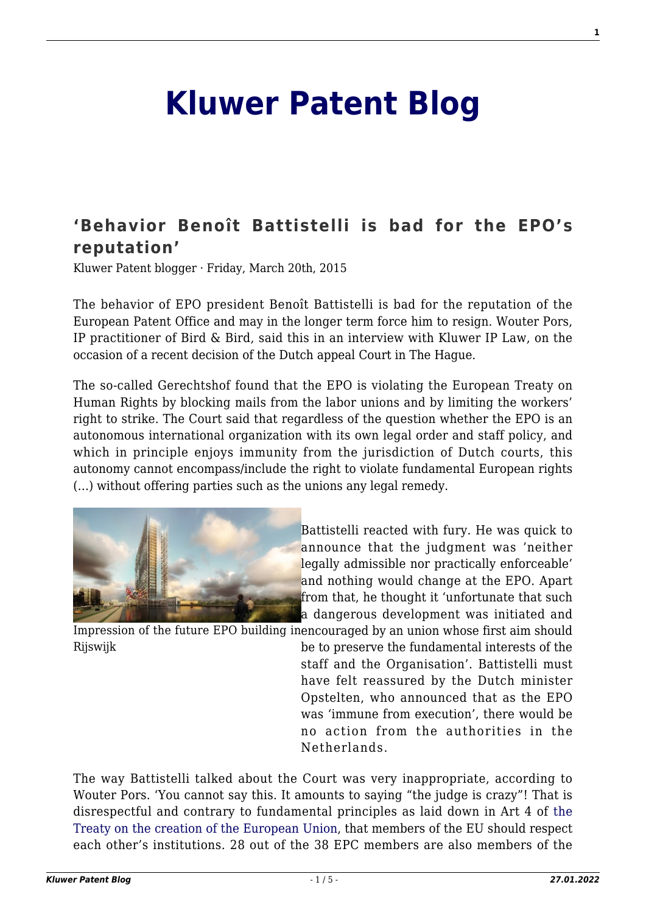## **[Kluwer Patent Blog](http://patentblog.kluweriplaw.com/)**

## **['Behavior Benoît Battistelli is bad for the EPO's](http://patentblog.kluweriplaw.com/2015/03/20/behavior-benoit-battistelli-is-bad-for-the-epos-reputation/) [reputation'](http://patentblog.kluweriplaw.com/2015/03/20/behavior-benoit-battistelli-is-bad-for-the-epos-reputation/)**

Kluwer Patent blogger · Friday, March 20th, 2015

The behavior of EPO president Benoît Battistelli is bad for the reputation of the European Patent Office and may in the longer term force him to resign. Wouter Pors, IP practitioner of Bird & Bird, said this in an interview with Kluwer IP Law, on the occasion of a recent decision of the Dutch appeal Court in The Hague.

The so-called Gerechtshof found that the EPO is violating the European Treaty on Human Rights by blocking mails from the labor unions and by limiting the workers' right to strike. The Court said that regardless of the question whether the EPO is an autonomous international organization with its own legal order and staff policy, and which in principle enjoys immunity from the jurisdiction of Dutch courts, this autonomy cannot encompass/include the right to violate fundamental European rights (…) without offering parties such as the unions any legal remedy.



[B](http://patentblog.kluweriplaw.com/wp-content/uploads/sites/52/2015/03/hoofdkantoor-EPO-klein.jpg)attistelli reacted with fury. He was quick to announce that the judgment was 'neither legally admissible nor practically enforceable' and nothing would change at the EPO. Apart from that, he thought it 'unfortunate that such a dangerous development was initiated and

Impression of the future EPO building in encouraged by an union whose first aim should Rijswijk be to preserve the fundamental interests of the

staff and the Organisation'. Battistelli must have felt reassured by the Dutch minister Opstelten, who announced that as the EPO was 'immune from execution', there would be no action from the authorities in the Netherlands.

The way Battistelli talked about the Court was very inappropriate, according to Wouter Pors. 'You cannot say this. It amounts to saying "the judge is crazy"! That is disrespectful and contrary to fundamental principles as laid down in Art 4 of [the](http://eur-lex.europa.eu/legal-content/EN/TXT/HTML/?uri=CELEX:12012M/TXT&from=EN) [Treaty on the creation of the European Union](http://eur-lex.europa.eu/legal-content/EN/TXT/HTML/?uri=CELEX:12012M/TXT&from=EN), that members of the EU should respect each other's institutions. 28 out of the 38 EPC members are also members of the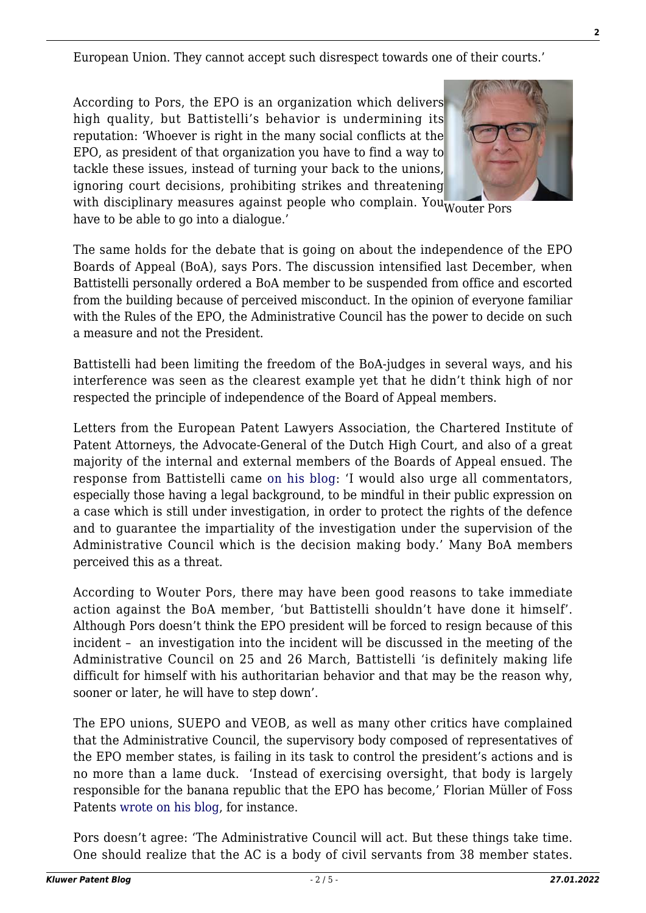European Union. They cannot accept such disrespect towards one of their courts.'

According to Pors, the EPO is an organization which delivers high quality, but Battistelli's behavior is undermining its reputation: 'Whoever is right in the many social conflicts at the EPO, as president of that organization you have to find a way t[o](http://patentblog.kluweriplaw.com/wp-content/uploads/sites/52/2015/03/pors.jpg) tackle these issues, instead of turning your back to the unions, ignoring court decisions, prohibiting strikes and threatening



with disciplinary measures against people who complain. You wouter Pors have to be able to go into a dialogue.'

The same holds for the debate that is going on about the independence of the EPO Boards of Appeal (BoA), says Pors. The discussion intensified last December, when Battistelli personally ordered a BoA member to be suspended from office and escorted from the building because of perceived misconduct. In the opinion of everyone familiar with the Rules of the EPO, the Administrative Council has the power to decide on such a measure and not the President.

Battistelli had been limiting the freedom of the BoA-judges in several ways, and his interference was seen as the clearest example yet that he didn't think high of nor respected the principle of independence of the Board of Appeal members.

Letters from the European Patent Lawyers Association, the Chartered Institute of Patent Attorneys, the Advocate-General of the Dutch High Court, and also of a great majority of the internal and external members of the Boards of Appeal ensued. The response from Battistelli came [on his blog:](http://blog.epo.org/patents/2014-another-successful-year-epo/) 'I would also urge all commentators, especially those having a legal background, to be mindful in their public expression on a case which is still under investigation, in order to protect the rights of the defence and to guarantee the impartiality of the investigation under the supervision of the Administrative Council which is the decision making body.' Many BoA members perceived this as a threat.

According to Wouter Pors, there may have been good reasons to take immediate action against the BoA member, 'but Battistelli shouldn't have done it himself'. Although Pors doesn't think the EPO president will be forced to resign because of this incident – an investigation into the incident will be discussed in the meeting of the Administrative Council on 25 and 26 March, Battistelli 'is definitely making life difficult for himself with his authoritarian behavior and that may be the reason why, sooner or later, he will have to step down'.

The EPO unions, SUEPO and VEOB, as well as many other critics have complained that the Administrative Council, the supervisory body composed of representatives of the EPO member states, is failing in its task to control the president's actions and is no more than a lame duck. 'Instead of exercising oversight, that body is largely responsible for the banana republic that the EPO has become,' Florian Müller of Foss Patents [wrote on his blog](http://www.fosspatents.com/2015/01/pressure-mounts-on-epo-president-and.html), for instance.

Pors doesn't agree: 'The Administrative Council will act. But these things take time. One should realize that the AC is a body of civil servants from 38 member states.

**2**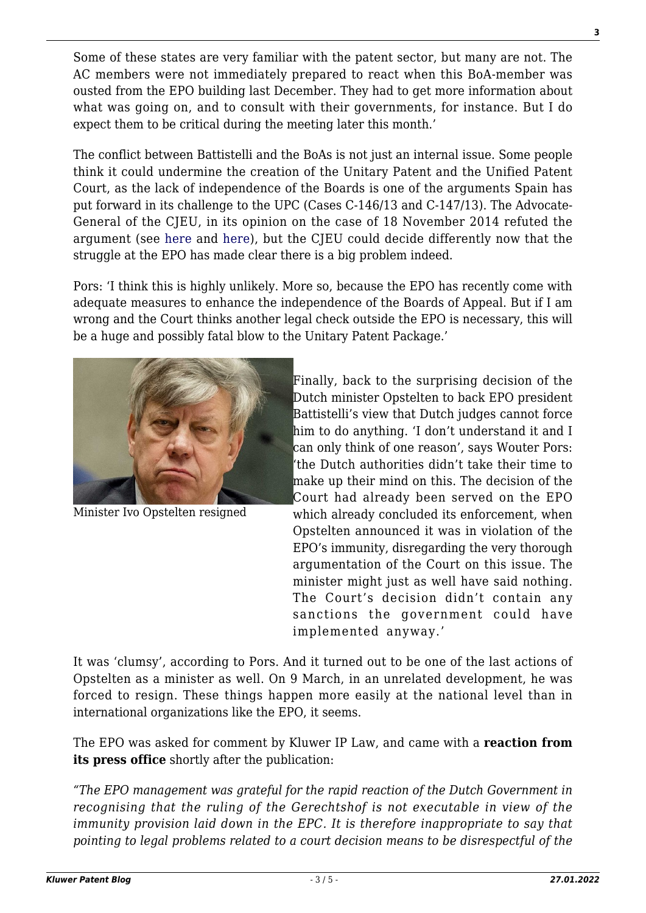Some of these states are very familiar with the patent sector, but many are not. The AC members were not immediately prepared to react when this BoA-member was ousted from the EPO building last December. They had to get more information about what was going on, and to consult with their governments, for instance. But I do expect them to be critical during the meeting later this month.'

The conflict between Battistelli and the BoAs is not just an internal issue. Some people think it could undermine the creation of the Unitary Patent and the Unified Patent Court, as the lack of independence of the Boards is one of the arguments Spain has put forward in its challenge to the UPC (Cases C-146/13 and C-147/13). The Advocate-General of the CJEU, in its opinion on the case of 18 November 2014 refuted the argument (see [here](http://curia.europa.eu/juris/document/document.jsf?text=&docid=159764&pageIndex=0&doclang=EN&mode=lst&dir=&occ=first&part=1&cid=430624) and [here](http://curia.europa.eu/juris/document/document.jsf?text=&docid=159763&pageIndex=0&doclang=en&mode=lst&dir=&occ=first&part=1&cid=430624)), but the CJEU could decide differently now that the struggle at the EPO has made clear there is a big problem indeed.

Pors: 'I think this is highly unlikely. More so, because the EPO has recently come with adequate measures to enhance the independence of the Boards of Appeal. But if I am wrong and the Court thinks another legal check outside the EPO is necessary, this will be a huge and possibly fatal blow to the Unitary Patent Package.'



Minister Ivo Opstelten resigned

Finally, back to the surprising decision of the Dutch minister Opstelten to back EPO president Battistelli's view that Dutch judges cannot force him to do anything. 'I don't understand it and I can only think of one reason', says Wouter Pors: 'the Dutch authorities didn't take their time to make up their mind on this. The decision of the Court had already been served on the EPO which already concluded its enforcement, when Opstelten announced it was in violation of the EPO's immunity, disregarding the very thorough argumentation of the Court on this issue. The minister might just as well have said nothing. The Court's decision didn't contain any sanctions the government could have implemented anyway.'

It was 'clumsy', according to Pors. And it turned out to be one of the last actions of Opstelten as a minister as well. On 9 March, in an unrelated development, he was forced to resign. These things happen more easily at the national level than in international organizations like the EPO, it seems.

The EPO was asked for comment by Kluwer IP Law, and came with a **reaction from its press office** shortly after the publication:

*"The EPO management was grateful for the rapid reaction of the Dutch Government in recognising that the ruling of the Gerechtshof is not executable in view of the immunity provision laid down in the EPC. It is therefore inappropriate to say that pointing to legal problems related to a court decision means to be disrespectful of the*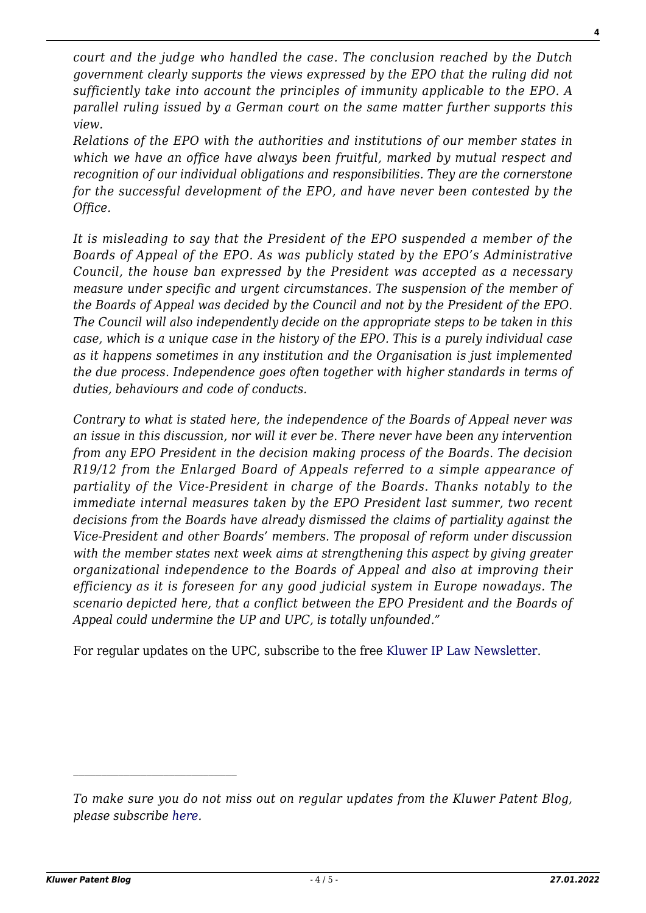*court and the judge who handled the case. The conclusion reached by the Dutch government clearly supports the views expressed by the EPO that the ruling did not sufficiently take into account the principles of immunity applicable to the EPO. A parallel ruling issued by a German court on the same matter further supports this view.*

*Relations of the EPO with the authorities and institutions of our member states in which we have an office have always been fruitful, marked by mutual respect and recognition of our individual obligations and responsibilities. They are the cornerstone for the successful development of the EPO, and have never been contested by the Office.*

*It is misleading to say that the President of the EPO suspended a member of the Boards of Appeal of the EPO. As was publicly stated by the EPO's Administrative Council, the house ban expressed by the President was accepted as a necessary measure under specific and urgent circumstances. The suspension of the member of the Boards of Appeal was decided by the Council and not by the President of the EPO. The Council will also independently decide on the appropriate steps to be taken in this case, which is a unique case in the history of the EPO. This is a purely individual case as it happens sometimes in any institution and the Organisation is just implemented the due process. Independence goes often together with higher standards in terms of duties, behaviours and code of conducts.*

*Contrary to what is stated here, the independence of the Boards of Appeal never was an issue in this discussion, nor will it ever be. There never have been any intervention from any EPO President in the decision making process of the Boards. The decision R19/12 from the Enlarged Board of Appeals referred to a simple appearance of partiality of the Vice-President in charge of the Boards. Thanks notably to the immediate internal measures taken by the EPO President last summer, two recent decisions from the Boards have already dismissed the claims of partiality against the Vice-President and other Boards' members. The proposal of reform under discussion with the member states next week aims at strengthening this aspect by giving greater organizational independence to the Boards of Appeal and also at improving their efficiency as it is foreseen for any good judicial system in Europe nowadays. The scenario depicted here, that a conflict between the EPO President and the Boards of Appeal could undermine the UP and UPC, is totally unfounded."*

For regular updates on the UPC, subscribe to the free [Kluwer IP Law Newsletter](http://webforms.kluwerlawonline.com/genons/toepassingen/kli/arbitration_website/subscribe.asp?prodcode=KIPL).

 $\mathcal{L}_\text{max}$ 

**4**

*To make sure you do not miss out on regular updates from the Kluwer Patent Blog, please subscribe [here.](http://patentblog.kluweriplaw.com/newsletter)*